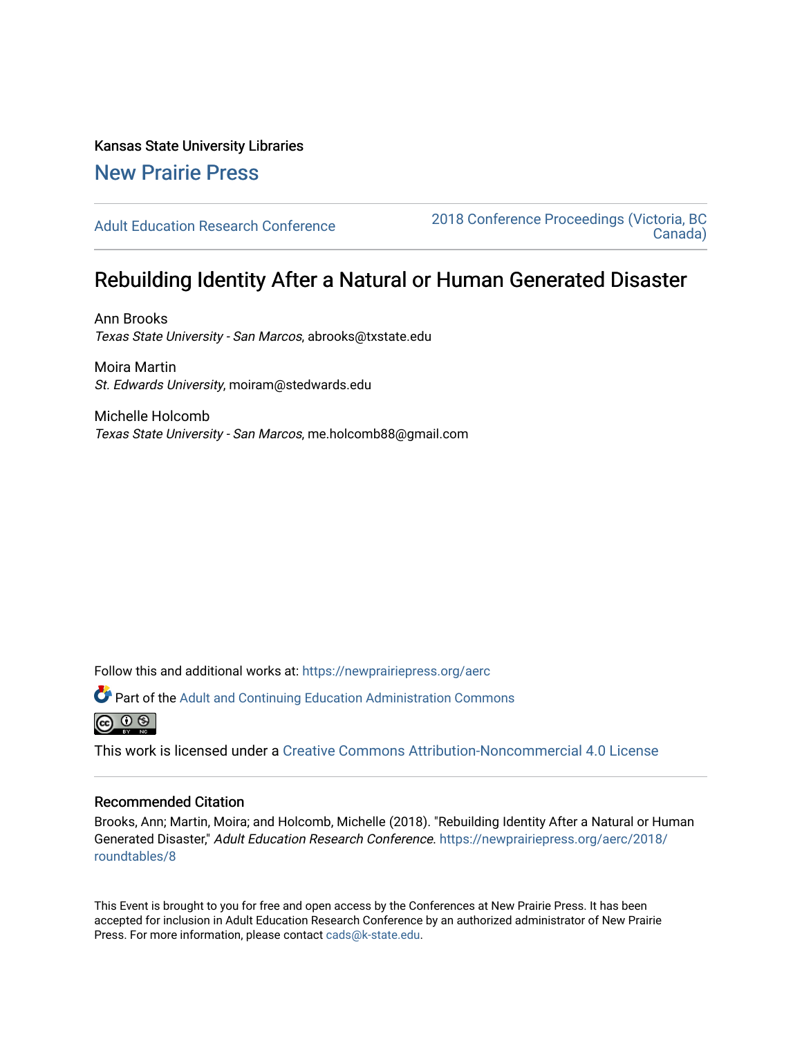# Kansas State University Libraries

## [New Prairie Press](https://newprairiepress.org/)

[Adult Education Research Conference](https://newprairiepress.org/aerc) [2018 Conference Proceedings \(Victoria, BC](https://newprairiepress.org/aerc/2018)  [Canada\)](https://newprairiepress.org/aerc/2018) 

## Rebuilding Identity After a Natural or Human Generated Disaster

Ann Brooks Texas State University - San Marcos, abrooks@txstate.edu

Moira Martin St. Edwards University, moiram@stedwards.edu

Michelle Holcomb Texas State University - San Marcos, me.holcomb88@gmail.com

Follow this and additional works at: [https://newprairiepress.org/aerc](https://newprairiepress.org/aerc?utm_source=newprairiepress.org%2Faerc%2F2018%2Froundtables%2F8&utm_medium=PDF&utm_campaign=PDFCoverPages)

Part of the [Adult and Continuing Education Administration Commons](http://network.bepress.com/hgg/discipline/789?utm_source=newprairiepress.org%2Faerc%2F2018%2Froundtables%2F8&utm_medium=PDF&utm_campaign=PDFCoverPages)



This work is licensed under a [Creative Commons Attribution-Noncommercial 4.0 License](https://creativecommons.org/licenses/by-nc/4.0/)

### Recommended Citation

Brooks, Ann; Martin, Moira; and Holcomb, Michelle (2018). "Rebuilding Identity After a Natural or Human Generated Disaster," Adult Education Research Conference. [https://newprairiepress.org/aerc/2018/](https://newprairiepress.org/aerc/2018/roundtables/8) [roundtables/8](https://newprairiepress.org/aerc/2018/roundtables/8) 

This Event is brought to you for free and open access by the Conferences at New Prairie Press. It has been accepted for inclusion in Adult Education Research Conference by an authorized administrator of New Prairie Press. For more information, please contact [cads@k-state.edu.](mailto:cads@k-state.edu)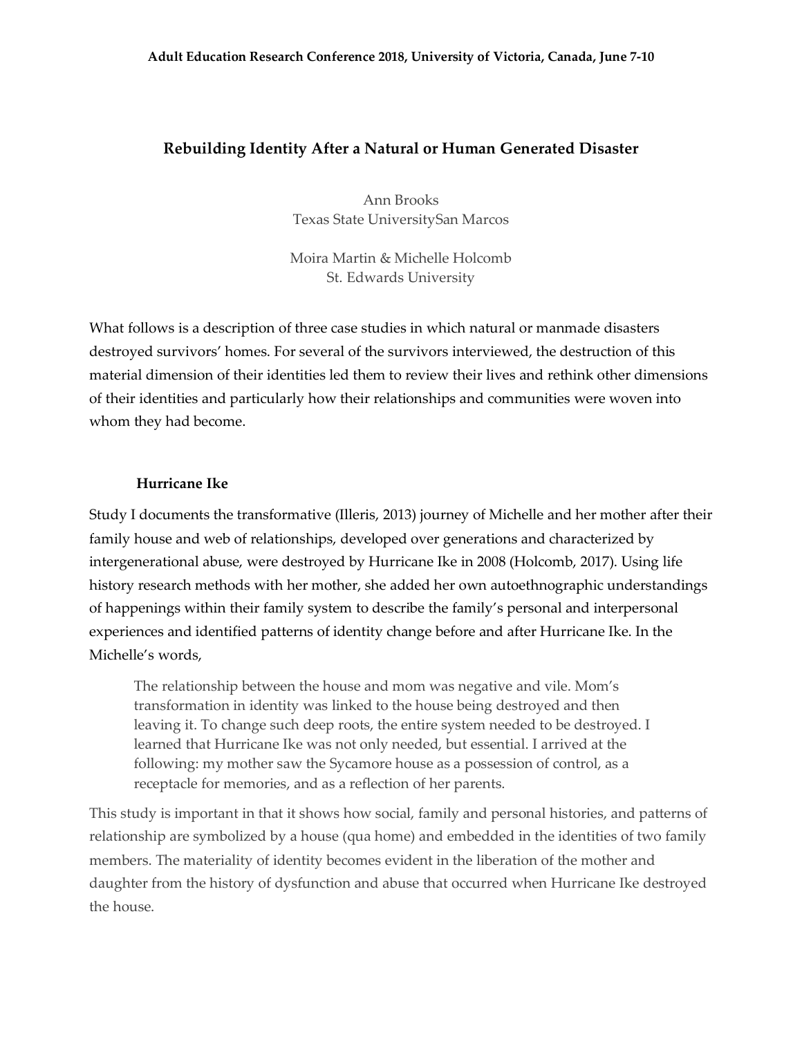### **Rebuilding Identity After a Natural or Human Generated Disaster**

Ann Brooks Texas State UniversitySan Marcos

Moira Martin & Michelle Holcomb St. Edwards University

What follows is a description of three case studies in which natural or manmade disasters destroyed survivors' homes. For several of the survivors interviewed, the destruction of this material dimension of their identities led them to review their lives and rethink other dimensions of their identities and particularly how their relationships and communities were woven into whom they had become.

#### **Hurricane Ike**

Study I documents the transformative (Illeris, 2013) journey of Michelle and her mother after their family house and web of relationships, developed over generations and characterized by intergenerational abuse, were destroyed by Hurricane Ike in 2008 (Holcomb, 2017). Using life history research methods with her mother, she added her own autoethnographic understandings of happenings within their family system to describe the family's personal and interpersonal experiences and identified patterns of identity change before and after Hurricane Ike. In the Michelle's words,

The relationship between the house and mom was negative and vile. Mom's transformation in identity was linked to the house being destroyed and then leaving it. To change such deep roots, the entire system needed to be destroyed. I learned that Hurricane Ike was not only needed, but essential. I arrived at the following: my mother saw the Sycamore house as a possession of control, as a receptacle for memories, and as a reflection of her parents.

This study is important in that it shows how social, family and personal histories, and patterns of relationship are symbolized by a house (qua home) and embedded in the identities of two family members. The materiality of identity becomes evident in the liberation of the mother and daughter from the history of dysfunction and abuse that occurred when Hurricane Ike destroyed the house.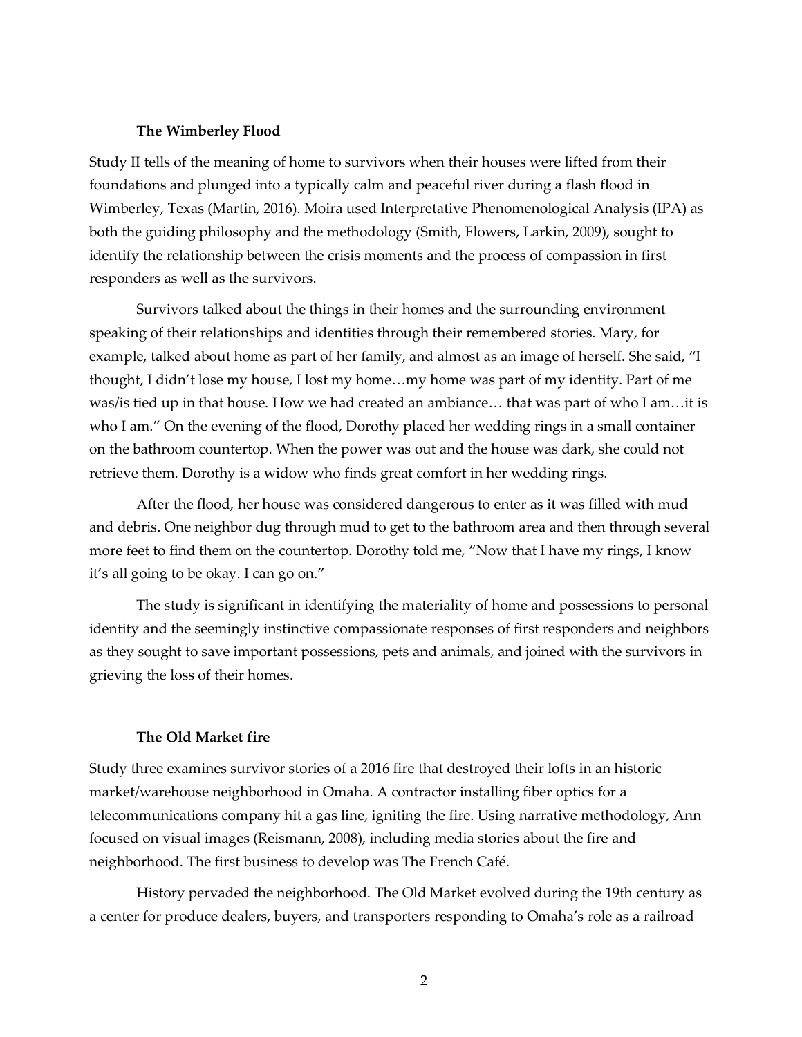#### **The Wimberley Flood**

Study II tells of the meaning of home to survivors when their houses were lifted from their foundations and plunged into a typically calm and peaceful river during a flash flood in Wimberley, Texas (Martin, 2016). Moira used Interpretative Phenomenological Analysis (IPA) as both the guiding philosophy and the methodology (Smith, Flowers, Larkin, 2009), sought to identify the relationship between the crisis moments and the process of compassion in first responders as well as the survivors.

Survivors talked about the things in their homes and the surrounding environment speaking of their relationships and identities through their remembered stories. Mary, for example, talked about home as part of her family, and almost as an image of herself. She said, "I thought, I didn't lose my house, I lost my home…my home was part of my identity. Part of me was/is tied up in that house. How we had created an ambiance… that was part of who I am…it is who I am." On the evening of the flood, Dorothy placed her wedding rings in a small container on the bathroom countertop. When the power was out and the house was dark, she could not retrieve them. Dorothy is a widow who finds great comfort in her wedding rings.

After the flood, her house was considered dangerous to enter as it was filled with mud and debris. One neighbor dug through mud to get to the bathroom area and then through several more feet to find them on the countertop. Dorothy told me, "Now that I have my rings, I know it's all going to be okay. I can go on."

The study is significant in identifying the materiality of home and possessions to personal identity and the seemingly instinctive compassionate responses of first responders and neighbors as they sought to save important possessions, pets and animals, and joined with the survivors in grieving the loss of their homes.

## **The Old Market fire**

Study three examines survivor stories of a 2016 fire that destroyed their lofts in an historic market/warehouse neighborhood in Omaha. A contractor installing fiber optics for a telecommunications company hit a gas line, igniting the fire. Using narrative methodology, Ann focused on visual images (Reismann, 2008), including media stories about the fire and neighborhood. The first business to develop was The French Café.

History pervaded the neighborhood. The Old Market evolved during the 19th century as a center for produce dealers, buyers, and transporters responding to Omaha's role as a railroad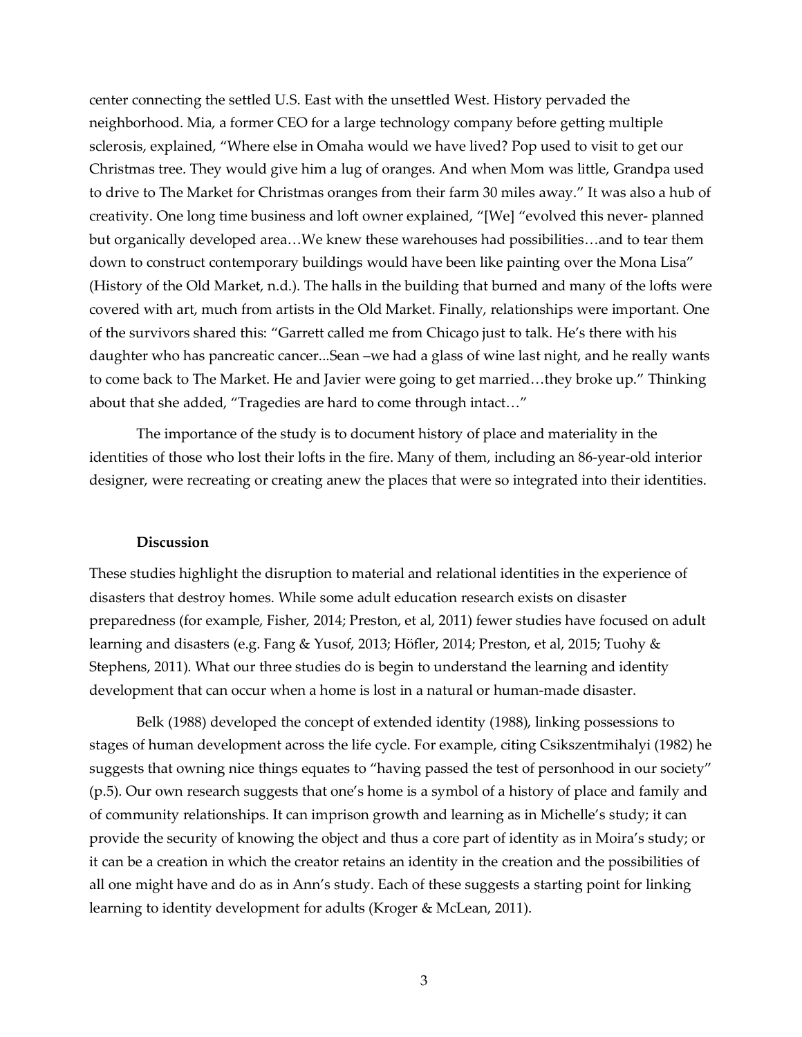center connecting the settled U.S. East with the unsettled West. History pervaded the neighborhood. Mia, a former CEO for a large technology company before getting multiple sclerosis, explained, "Where else in Omaha would we have lived? Pop used to visit to get our Christmas tree. They would give him a lug of oranges. And when Mom was little, Grandpa used to drive to The Market for Christmas oranges from their farm 30 miles away." It was also a hub of creativity. One long time business and loft owner explained, "[We] "evolved this never- planned but organically developed area…We knew these warehouses had possibilities…and to tear them down to construct contemporary buildings would have been like painting over the Mona Lisa" (History of the Old Market, n.d.). The halls in the building that burned and many of the lofts were covered with art, much from artists in the Old Market. Finally, relationships were important. One of the survivors shared this: "Garrett called me from Chicago just to talk. He's there with his daughter who has pancreatic cancer...Sean –we had a glass of wine last night, and he really wants to come back to The Market. He and Javier were going to get married…they broke up." Thinking about that she added, "Tragedies are hard to come through intact…"

The importance of the study is to document history of place and materiality in the identities of those who lost their lofts in the fire. Many of them, including an 86-year-old interior designer, were recreating or creating anew the places that were so integrated into their identities.

#### **Discussion**

These studies highlight the disruption to material and relational identities in the experience of disasters that destroy homes. While some adult education research exists on disaster preparedness (for example, Fisher, 2014; Preston, et al, 2011) fewer studies have focused on adult learning and disasters (e.g. Fang & Yusof, 2013; Höfler, 2014; Preston, et al, 2015; Tuohy & Stephens, 2011). What our three studies do is begin to understand the learning and identity development that can occur when a home is lost in a natural or human-made disaster.

Belk (1988) developed the concept of extended identity (1988), linking possessions to stages of human development across the life cycle. For example, citing Csikszentmihalyi (1982) he suggests that owning nice things equates to "having passed the test of personhood in our society" (p.5). Our own research suggests that one's home is a symbol of a history of place and family and of community relationships. It can imprison growth and learning as in Michelle's study; it can provide the security of knowing the object and thus a core part of identity as in Moira's study; or it can be a creation in which the creator retains an identity in the creation and the possibilities of all one might have and do as in Ann's study. Each of these suggests a starting point for linking learning to identity development for adults (Kroger & McLean, 2011).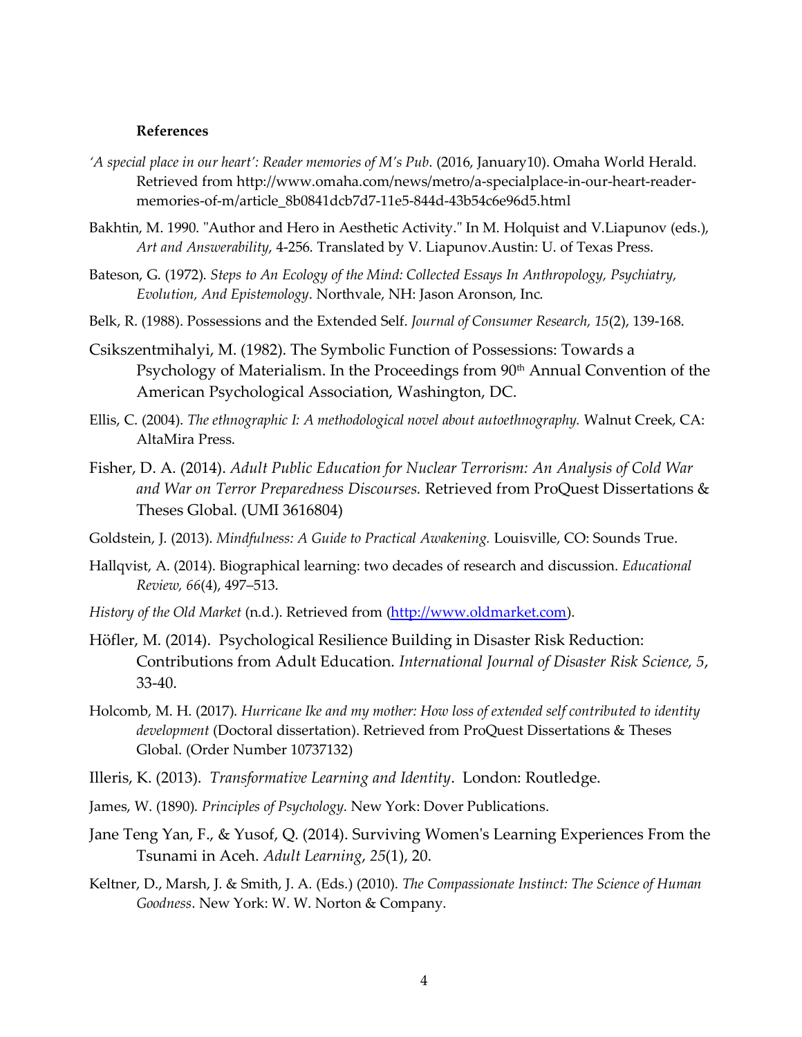#### **References**

- *'A special place in our heart': Reader memories of M's Pub*. (2016, January10). Omaha World Herald. Retrieved from http://www.omaha.com/news/metro/a-specialplace-in-our-heart-readermemories-of-m/article\_8b0841dcb7d7-11e5-844d-43b54c6e96d5.html
- Bakhtin, M. 1990. "Author and Hero in Aesthetic Activity." In M. Holquist and V.Liapunov (eds.), *Art and Answerability*, 4-256. Translated by V. Liapunov.Austin: U. of Texas Press.
- Bateson, G. (1972). *Steps to An Ecology of the Mind: Collected Essays In Anthropology, Psychiatry, Evolution, And Epistemology*. Northvale, NH: Jason Aronson, Inc.
- Belk, R. (1988). Possessions and the Extended Self. *Journal of Consumer Research, 15*(2), 139-168.
- Csikszentmihalyi, M. (1982). The Symbolic Function of Possessions: Towards a Psychology of Materialism. In the Proceedings from 90<sup>th</sup> Annual Convention of the American Psychological Association, Washington, DC.
- Ellis, C. (2004). *The ethnographic I: A methodological novel about autoethnography.* Walnut Creek, CA: AltaMira Press.
- Fisher, D. A. (2014). *Adult Public Education for Nuclear Terrorism: An Analysis of Cold War and War on Terror Preparedness Discourses.* Retrieved from ProQuest Dissertations & Theses Global. (UMI 3616804)
- Goldstein, J. (2013). *Mindfulness: A Guide to Practical Awakening.* Louisville, CO: Sounds True.
- Hallqvist, A. (2014). Biographical learning: two decades of research and discussion. *Educational Review, 66*(4), 497–513.
- *History of the Old Market* (n.d.). Retrieved from (http://www.oldmarket.com).
- Höfler, M. (2014). Psychological Resilience Building in Disaster Risk Reduction: Contributions from Adult Education. *International Journal of Disaster Risk Science, 5*, 33-40.
- Holcomb, M. H. (2017). *Hurricane Ike and my mother: How loss of extended self contributed to identity development* (Doctoral dissertation). Retrieved from ProQuest Dissertations & Theses Global. (Order Number 10737132)
- Illeris, K. (2013). *Transformative Learning and Identity*. London: Routledge.
- James, W. (1890). *Principles of Psychology*. New York: Dover Publications.
- Jane Teng Yan, F., & Yusof, Q. (2014). Surviving Women's Learning Experiences From the Tsunami in Aceh. *Adult Learning*, *25*(1), 20.
- Keltner, D., Marsh, J. & Smith, J. A. (Eds.) (2010). *The Compassionate Instinct: The Science of Human Goodness*. New York: W. W. Norton & Company.